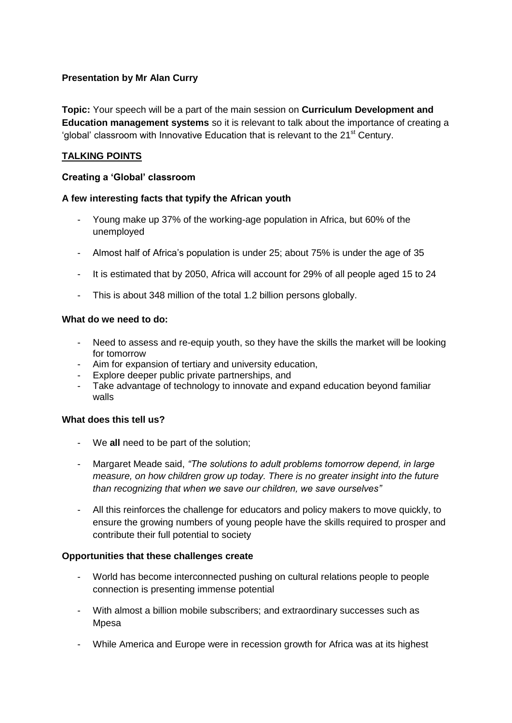# **Presentation by Mr Alan Curry**

**Topic:** Your speech will be a part of the main session on **Curriculum Development and Education management systems** so it is relevant to talk about the importance of creating a 'global' classroom with Innovative Education that is relevant to the  $21<sup>st</sup>$  Century.

# **TALKING POINTS**

### **Creating a 'Global' classroom**

#### **A few interesting facts that typify the African youth**

- Young make up 37% of the working-age population in Africa, but 60% of the unemployed
- Almost half of Africa's population is under 25; about 75% is under the age of 35
- It is estimated that by 2050, Africa will account for 29% of all people aged 15 to 24
- This is about 348 million of the total 1.2 billion persons globally.

### **What do we need to do:**

- Need to assess and re-equip youth, so they have the skills the market will be looking for tomorrow
- Aim for expansion of tertiary and university education,
- Explore deeper public private partnerships, and
- Take advantage of technology to innovate and expand education beyond familiar walls

### **What does this tell us?**

- We **all** need to be part of the solution;
- Margaret Meade said, *"The solutions to adult problems tomorrow depend, in large measure, on how children grow up today. There is no greater insight into the future than recognizing that when we save our children, we save ourselves"*
- All this reinforces the challenge for educators and policy makers to move quickly, to ensure the growing numbers of young people have the skills required to prosper and contribute their full potential to society

#### **Opportunities that these challenges create**

- World has become interconnected pushing on cultural relations people to people connection is presenting immense potential
- With almost a billion mobile subscribers; and extraordinary successes such as Mpesa
- While America and Europe were in recession growth for Africa was at its highest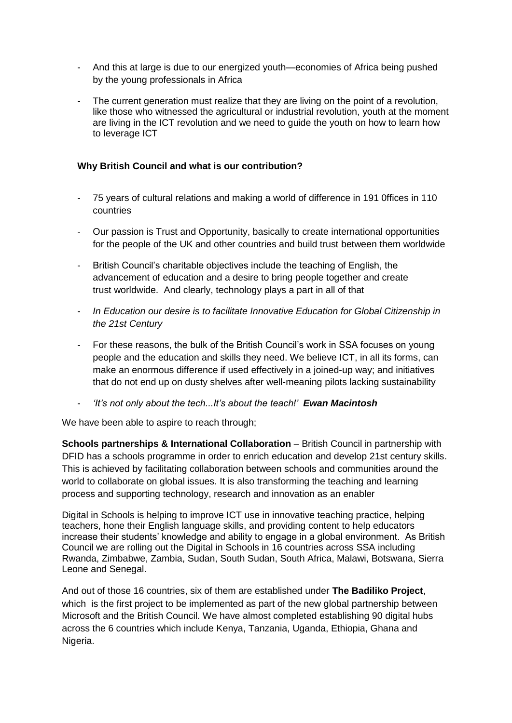- And this at large is due to our energized youth—economies of Africa being pushed by the young professionals in Africa
- The current generation must realize that they are living on the point of a revolution, like those who witnessed the agricultural or industrial revolution, youth at the moment are living in the ICT revolution and we need to guide the youth on how to learn how to leverage ICT

# **Why British Council and what is our contribution?**

- 75 years of cultural relations and making a world of difference in 191 0ffices in 110 countries
- Our passion is Trust and Opportunity, basically to create international opportunities for the people of the UK and other countries and build trust between them worldwide
- British Council's charitable objectives include the teaching of English, the advancement of education and a desire to bring people together and create trust worldwide. And clearly, technology plays a part in all of that
- *In Education our desire is to facilitate Innovative Education for Global Citizenship in the 21st Century*
- For these reasons, the bulk of the British Council's work in SSA focuses on young people and the education and skills they need. We believe ICT, in all its forms, can make an enormous difference if used effectively in a joined-up way; and initiatives that do not end up on dusty shelves after well-meaning pilots lacking sustainability
- *'It's not only about the tech...It's about the teach!' Ewan Macintosh*

We have been able to aspire to reach through;

**Schools partnerships & International Collaboration** – British Council in partnership with DFID has a schools programme in order to enrich education and develop 21st century skills. This is achieved by facilitating collaboration between schools and communities around the world to collaborate on global issues. It is also transforming the teaching and learning process and supporting technology, research and innovation as an enabler

Digital in Schools is helping to improve ICT use in innovative teaching practice, helping teachers, hone their English language skills, and providing content to help educators increase their students' knowledge and ability to engage in a global environment. As British Council we are rolling out the Digital in Schools in 16 countries across SSA including Rwanda, Zimbabwe, Zambia, Sudan, South Sudan, South Africa, Malawi, Botswana, Sierra Leone and Senegal.

And out of those 16 countries, six of them are established under **The Badiliko Project**, which is the first project to be implemented as part of the new global partnership between Microsoft and the British Council. We have almost completed establishing 90 digital hubs across the 6 countries which include Kenya, Tanzania, Uganda, Ethiopia, Ghana and Nigeria.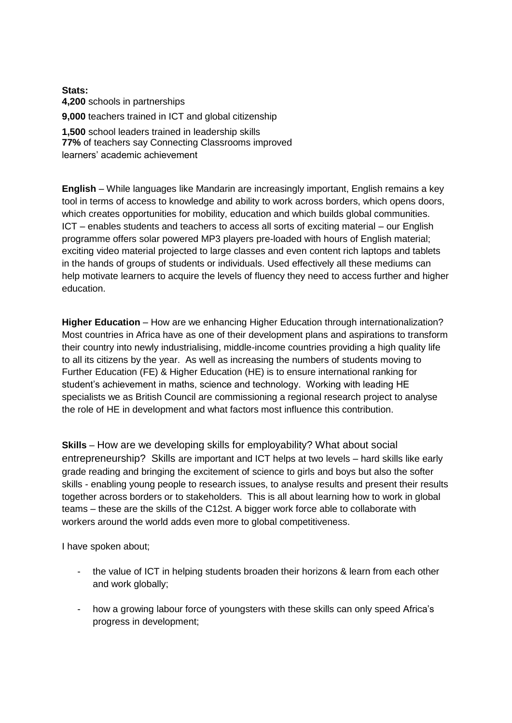**Stats: 4,200** schools in partnerships **9,000** teachers trained in ICT and global citizenship

**1,500** school leaders trained in leadership skills **77%** of teachers say Connecting Classrooms improved learners' academic achievement

**English** – While languages like Mandarin are increasingly important, English remains a key tool in terms of access to knowledge and ability to work across borders, which opens doors, which creates opportunities for mobility, education and which builds global communities. ICT – enables students and teachers to access all sorts of exciting material – our English programme offers solar powered MP3 players pre-loaded with hours of English material; exciting video material projected to large classes and even content rich laptops and tablets in the hands of groups of students or individuals. Used effectively all these mediums can help motivate learners to acquire the levels of fluency they need to access further and higher education.

**Higher Education** – How are we enhancing Higher Education through internationalization? Most countries in Africa have as one of their development plans and aspirations to transform their country into newly industrialising, middle-income countries providing a high quality life to all its citizens by the year. As well as increasing the numbers of students moving to Further Education (FE) & Higher Education (HE) is to ensure international ranking for student's achievement in maths, science and technology. Working with leading HE specialists we as British Council are commissioning a regional research project to analyse the role of HE in development and what factors most influence this contribution.

**Skills** – How are we developing skills for employability? What about social entrepreneurship? Skills are important and ICT helps at two levels – hard skills like early grade reading and bringing the excitement of science to girls and boys but also the softer skills - enabling young people to research issues, to analyse results and present their results together across borders or to stakeholders. This is all about learning how to work in global teams – these are the skills of the C12st. A bigger work force able to collaborate with workers around the world adds even more to global competitiveness.

I have spoken about;

- the value of ICT in helping students broaden their horizons & learn from each other and work globally;
- how a growing labour force of youngsters with these skills can only speed Africa's progress in development;